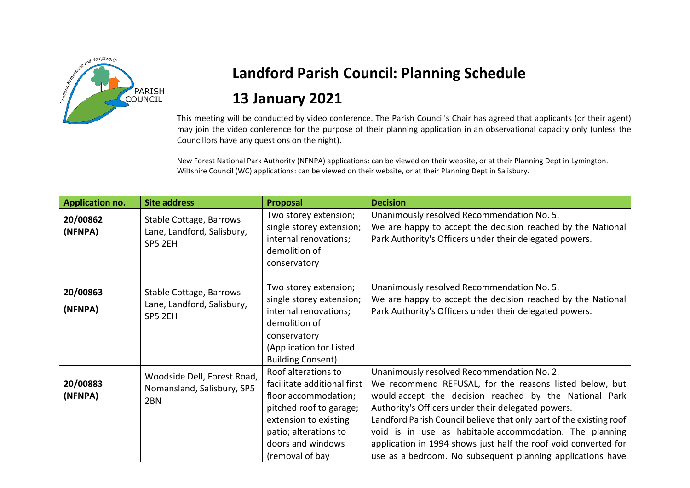

## **Landford Parish Council: Planning Schedule 13 January 2021**

This meeting will be conducted by video conference. The Parish Council's Chair has agreed that applicants (or their agent) may join the video conference for the purpose of their planning application in an observational capacity only (unless the Councillors have any questions on the night).

New Forest National Park Authority (NFNPA) applications: can be viewed on their website, or at their Planning Dept in Lymington. Wiltshire Council (WC) applications: can be viewed on their website, or at their Planning Dept in Salisbury.

| <b>Application no.</b> | <b>Site address</b>                                                          | Proposal                                                                                                                                                                                        | <b>Decision</b>                                                                                                                                                                                                                                                                                                                                                                                                                                                                          |
|------------------------|------------------------------------------------------------------------------|-------------------------------------------------------------------------------------------------------------------------------------------------------------------------------------------------|------------------------------------------------------------------------------------------------------------------------------------------------------------------------------------------------------------------------------------------------------------------------------------------------------------------------------------------------------------------------------------------------------------------------------------------------------------------------------------------|
| 20/00862<br>(NFNPA)    | Stable Cottage, Barrows<br>Lane, Landford, Salisbury,<br>SP5 2EH             | Two storey extension;<br>single storey extension;<br>internal renovations;<br>demolition of<br>conservatory                                                                                     | Unanimously resolved Recommendation No. 5.<br>We are happy to accept the decision reached by the National<br>Park Authority's Officers under their delegated powers.                                                                                                                                                                                                                                                                                                                     |
| 20/00863<br>(NFNPA)    | Stable Cottage, Barrows<br>Lane, Landford, Salisbury,<br>SP5 2EH             | Two storey extension;<br>single storey extension;<br>internal renovations;<br>demolition of<br>conservatory<br>(Application for Listed<br><b>Building Consent)</b>                              | Unanimously resolved Recommendation No. 5.<br>We are happy to accept the decision reached by the National<br>Park Authority's Officers under their delegated powers.                                                                                                                                                                                                                                                                                                                     |
| 20/00883<br>(NFNPA)    | Woodside Dell, Forest Road,<br>Nomansland, Salisbury, SP5<br>2 <sub>BN</sub> | Roof alterations to<br>facilitate additional first<br>floor accommodation;<br>pitched roof to garage;<br>extension to existing<br>patio; alterations to<br>doors and windows<br>(removal of bay | Unanimously resolved Recommendation No. 2.<br>We recommend REFUSAL, for the reasons listed below, but<br>would accept the decision reached by the National Park<br>Authority's Officers under their delegated powers.<br>Landford Parish Council believe that only part of the existing roof<br>void is in use as habitable accommodation. The planning<br>application in 1994 shows just half the roof void converted for<br>use as a bedroom. No subsequent planning applications have |